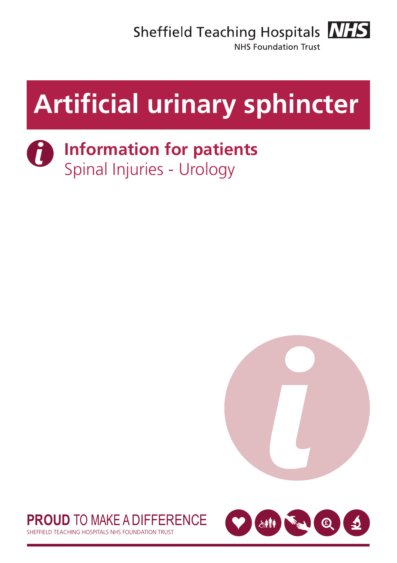Sheffield Teaching Hospitals **NHS** 



NHS Foundation Trust

# **Artificial urinary sphincter**

## **Information for patients** Spinal Injuries - Urology





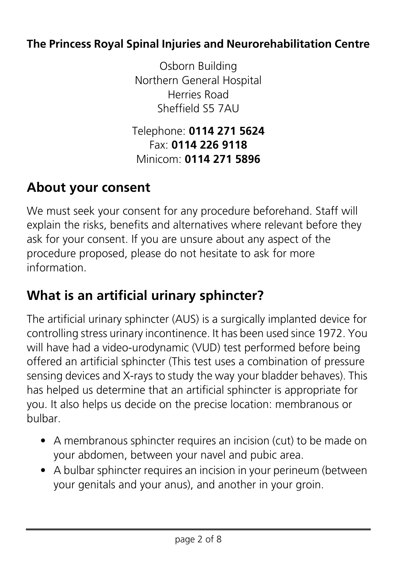#### **The Princess Royal Spinal Injuries and Neurorehabilitation Centre**

Osborn Building Northern General Hospital Herries Road Sheffield S5 7AU

Telephone: **0114 271 5624** Fax: **0114 226 9118**  Minicom: **0114 271 5896**

#### **About your consent**

We must seek your consent for any procedure beforehand. Staff will explain the risks, benefits and alternatives where relevant before they ask for your consent. If you are unsure about any aspect of the procedure proposed, please do not hesitate to ask for more information.

#### **What is an artificial urinary sphincter?**

The artificial urinary sphincter (AUS) is a surgically implanted device for controlling stress urinary incontinence. It has been used since 1972. You will have had a video-urodynamic (VUD) test performed before being offered an artificial sphincter (This test uses a combination of pressure sensing devices and X-rays to study the way your bladder behaves). This has helped us determine that an artificial sphincter is appropriate for you. It also helps us decide on the precise location: membranous or bulbar.

- A membranous sphincter requires an incision (cut) to be made on your abdomen, between your navel and pubic area.
- A bulbar sphincter requires an incision in your perineum (between your genitals and your anus), and another in your groin.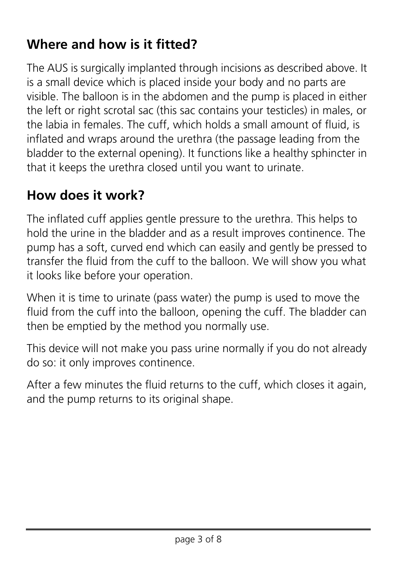## **Where and how is it fitted?**

The AUS is surgically implanted through incisions as described above. It is a small device which is placed inside your body and no parts are visible. The balloon is in the abdomen and the pump is placed in either the left or right scrotal sac (this sac contains your testicles) in males, or the labia in females. The cuff, which holds a small amount of fluid, is inflated and wraps around the urethra (the passage leading from the bladder to the external opening). It functions like a healthy sphincter in that it keeps the urethra closed until you want to urinate.

## **How does it work?**

The inflated cuff applies gentle pressure to the urethra. This helps to hold the urine in the bladder and as a result improves continence. The pump has a soft, curved end which can easily and gently be pressed to transfer the fluid from the cuff to the balloon. We will show you what it looks like before your operation.

When it is time to urinate (pass water) the pump is used to move the fluid from the cuff into the balloon, opening the cuff. The bladder can then be emptied by the method you normally use.

This device will not make you pass urine normally if you do not already do so: it only improves continence.

After a few minutes the fluid returns to the cuff, which closes it again, and the pump returns to its original shape.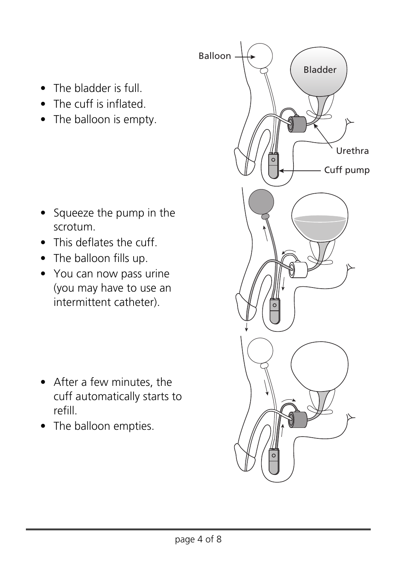- The bladder is full
- The cuff is inflated.
- The balloon is empty.

- Squeeze the pump in the scrotum.
- This deflates the cuff.
- The balloon fills up.
- You can now pass urine (you may have to use an intermittent catheter).

- After a few minutes, the cuff automatically starts to refill.
- The balloon empties.

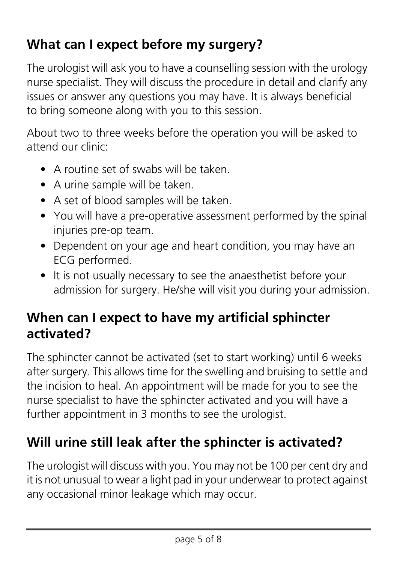## **What can I expect before my surgery?**

The urologist will ask you to have a counselling session with the urology nurse specialist. They will discuss the procedure in detail and clarify any issues or answer any questions you may have. It is always beneficial to bring someone along with you to this session.

About two to three weeks before the operation you will be asked to attend our clinic:

- A routine set of swabs will be taken
- A urine sample will be taken.
- A set of blood samples will be taken.
- You will have a pre-operative assessment performed by the spinal injuries pre-op team.
- Dependent on your age and heart condition, you may have an ECG performed.
- It is not usually necessary to see the anaesthetist before your admission for surgery. He/she will visit you during your admission.

#### **When can I expect to have my artificial sphincter activated?**

The sphincter cannot be activated (set to start working) until 6 weeks after surgery. This allows time for the swelling and bruising to settle and the incision to heal. An appointment will be made for you to see the nurse specialist to have the sphincter activated and you will have a further appointment in 3 months to see the urologist.

#### **Will urine still leak after the sphincter is activated?**

The urologist will discuss with you. You may not be 100 per cent dry and it is not unusual to wear a light pad in your underwear to protect against any occasional minor leakage which may occur.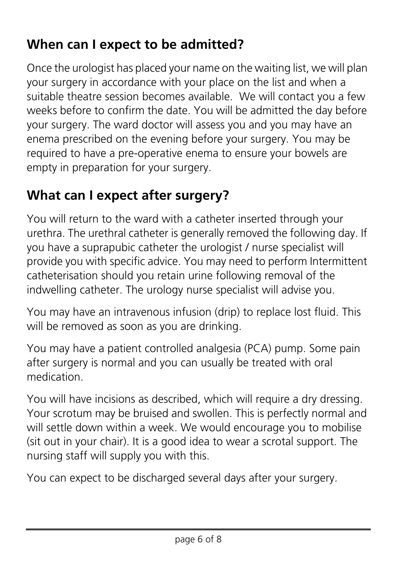## **When can I expect to be admitted?**

Once the urologist has placed your name on the waiting list, we will plan your surgery in accordance with your place on the list and when a suitable theatre session becomes available. We will contact you a few weeks before to confirm the date. You will be admitted the day before your surgery. The ward doctor will assess you and you may have an enema prescribed on the evening before your surgery. You may be required to have a pre-operative enema to ensure your bowels are empty in preparation for your surgery.

## **What can I expect after surgery?**

You will return to the ward with a catheter inserted through your urethra. The urethral catheter is generally removed the following day. If you have a suprapubic catheter the urologist / nurse specialist will provide you with specific advice. You may need to perform Intermittent catheterisation should you retain urine following removal of the indwelling catheter. The urology nurse specialist will advise you.

You may have an intravenous infusion (drip) to replace lost fluid. This will be removed as soon as you are drinking.

You may have a patient controlled analgesia (PCA) pump. Some pain after surgery is normal and you can usually be treated with oral medication.

You will have incisions as described, which will require a dry dressing. Your scrotum may be bruised and swollen. This is perfectly normal and will settle down within a week. We would encourage you to mobilise (sit out in your chair). It is a good idea to wear a scrotal support. The nursing staff will supply you with this.

You can expect to be discharged several days after your surgery.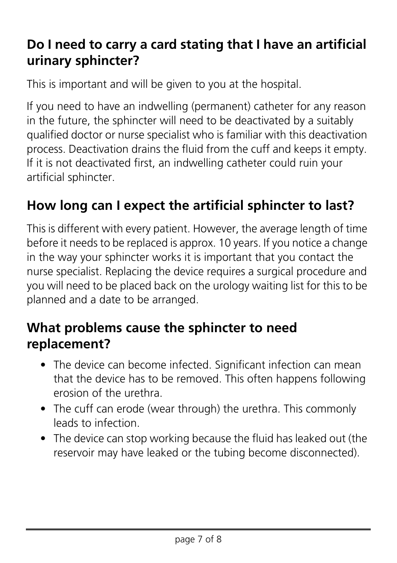#### **Do I need to carry a card stating that I have an artificial urinary sphincter?**

This is important and will be given to you at the hospital.

If you need to have an indwelling (permanent) catheter for any reason in the future, the sphincter will need to be deactivated by a suitably qualified doctor or nurse specialist who is familiar with this deactivation process. Deactivation drains the fluid from the cuff and keeps it empty. If it is not deactivated first, an indwelling catheter could ruin your artificial sphincter.

#### **How long can I expect the artificial sphincter to last?**

This is different with every patient. However, the average length of time before it needs to be replaced is approx. 10 years. If you notice a change in the way your sphincter works it is important that you contact the nurse specialist. Replacing the device requires a surgical procedure and you will need to be placed back on the urology waiting list for this to be planned and a date to be arranged.

#### **What problems cause the sphincter to need replacement?**

- The device can become infected. Significant infection can mean that the device has to be removed. This often happens following erosion of the urethra.
- The cuff can erode (wear through) the urethra. This commonly leads to infection.
- The device can stop working because the fluid has leaked out (the reservoir may have leaked or the tubing become disconnected).